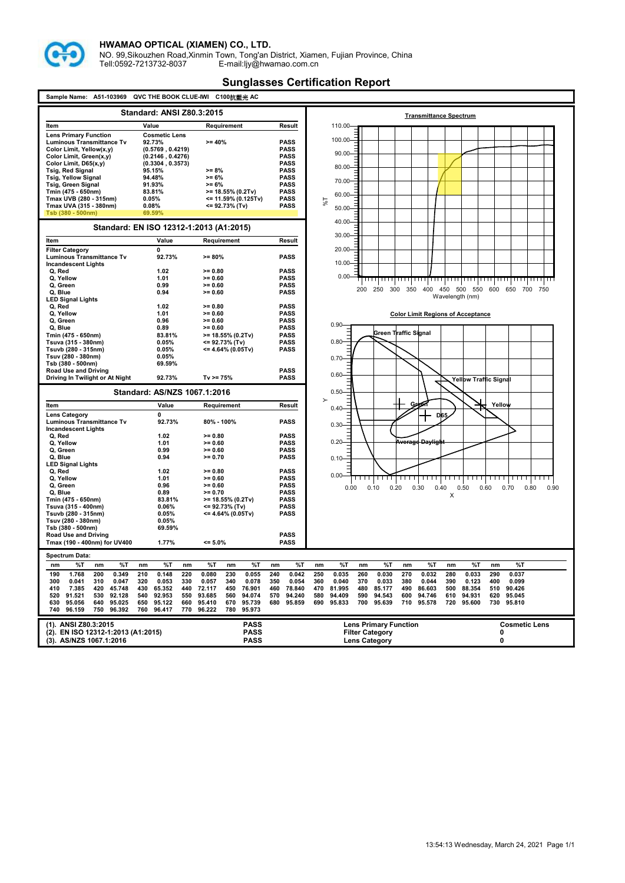

NO. 99,Sikouzhen Road,Xinmin Town, Tong'an District, Xiamen, Fujian Province, China Tell:0592-7213732-8037 E-mail:ljy@hwamao.com.cn

| Sample Name: A51-103969<br>QVC THE BOOK CLUE-IWI C100抗藍光 AC                                                                                                                                                                                                                                                      |                                                                                                                                                      |                                                                                                                                   |                                                                                                                               |                                                                                                                                                                                                                                                                                                                                             |  |
|------------------------------------------------------------------------------------------------------------------------------------------------------------------------------------------------------------------------------------------------------------------------------------------------------------------|------------------------------------------------------------------------------------------------------------------------------------------------------|-----------------------------------------------------------------------------------------------------------------------------------|-------------------------------------------------------------------------------------------------------------------------------|---------------------------------------------------------------------------------------------------------------------------------------------------------------------------------------------------------------------------------------------------------------------------------------------------------------------------------------------|--|
|                                                                                                                                                                                                                                                                                                                  | <b>Standard: ANSI Z80.3:2015</b>                                                                                                                     |                                                                                                                                   |                                                                                                                               | <b>Transmittance Spectrum</b>                                                                                                                                                                                                                                                                                                               |  |
| Item                                                                                                                                                                                                                                                                                                             | Value                                                                                                                                                | Requirement                                                                                                                       | Result                                                                                                                        | 110.00                                                                                                                                                                                                                                                                                                                                      |  |
| <b>Lens Primary Function</b><br><b>Luminous Transmittance Tv</b><br>Color Limit, Yellow(x,y)<br>Color Limit, Green(x,y)<br>Color Limit, D65(x,y)<br><b>Tsig, Red Signal</b><br><b>Tsig, Yellow Signal</b><br><b>Tsig, Green Signal</b><br>Tmin (475 - 650nm)<br>Tmax UVB (280 - 315nm)<br>Tmax UVA (315 - 380nm) | <b>Cosmetic Lens</b><br>92.73%<br>(0.5769, 0.4219)<br>(0.2146, 0.4276)<br>(0.3304, 0.3573)<br>95.15%<br>94.48%<br>91.93%<br>83.81%<br>0.05%<br>0.08% | >= 40%<br>>= 8%<br>$>= 6\%$<br>>= 6%<br>>= 18.55% (0.2Tv)<br><= 11.59% (0.125Tv)<br><= 92.73% (Tv)                                | <b>PASS</b><br><b>PASS</b><br><b>PASS</b><br><b>PASS</b><br>PASS<br><b>PASS</b><br>PASS<br><b>PASS</b><br>PASS<br><b>PASS</b> | 100.00-<br>$90.00 -$<br>80.00-<br>70.00-<br>60.00<br>76 <sup>6</sup>                                                                                                                                                                                                                                                                        |  |
| Tsb (380 - 500nm)                                                                                                                                                                                                                                                                                                | 69.59%                                                                                                                                               |                                                                                                                                   |                                                                                                                               | $50.00 -$                                                                                                                                                                                                                                                                                                                                   |  |
|                                                                                                                                                                                                                                                                                                                  | Standard: EN ISO 12312-1:2013 (A1:2015)                                                                                                              |                                                                                                                                   |                                                                                                                               | 40.00-                                                                                                                                                                                                                                                                                                                                      |  |
| Item                                                                                                                                                                                                                                                                                                             | Value                                                                                                                                                | Requirement                                                                                                                       | Result                                                                                                                        | $30.00 -$                                                                                                                                                                                                                                                                                                                                   |  |
| <b>Filter Category</b><br><b>Luminous Transmittance Tv</b><br><b>Incandescent Lights</b><br>Q, Red<br>Q, Yellow<br>Q. Green<br>Q, Blue                                                                                                                                                                           | $\mathbf{0}$<br>92.73%<br>1.02<br>1.01<br>0.99<br>0.94                                                                                               | $>= 80%$<br>$>= 0.80$<br>$>= 0.60$<br>$>= 0.60$<br>$>= 0.60$                                                                      | <b>PASS</b><br><b>PASS</b><br><b>PASS</b><br><b>PASS</b><br><b>PASS</b>                                                       | $20.00 -$<br>$10.00 -$<br>$0.00 -$<br><del>समानामा</del> । । ।<br>.<br>200<br>250<br>300<br>350 400<br>450 500 550<br>600 650<br>700<br>750                                                                                                                                                                                                 |  |
| <b>LED Signal Lights</b><br>Q. Red<br>Q, Yellow<br>Q. Green                                                                                                                                                                                                                                                      | 1.02<br>1.01<br>0.96                                                                                                                                 | $>= 0.80$<br>$>= 0.60$<br>$>= 0.60$                                                                                               | <b>PASS</b><br><b>PASS</b><br><b>PASS</b>                                                                                     | Wavelength (nm)<br><b>Color Limit Regions of Acceptance</b>                                                                                                                                                                                                                                                                                 |  |
| Q. Blue<br>Tmin (475 - 650nm)<br>Tsuva (315 - 380nm)<br>Tsuvb (280 - 315nm)                                                                                                                                                                                                                                      | 0.89<br>83.81%<br>0.05%<br>0.05%                                                                                                                     | $>= 0.60$<br>$>= 18.55\% (0.2Tv)$<br><= 92.73% (Tv)<br>$\leq$ 4.64% (0.05Tv)                                                      | <b>PASS</b><br><b>PASS</b><br><b>PASS</b><br><b>PASS</b>                                                                      | $0.90 -$<br>Green T∣raffic Signal<br>$0.80 -$                                                                                                                                                                                                                                                                                               |  |
| Tsuv (280 - 380nm)<br>Tsb (380 - 500nm)<br>Road Use and Driving<br>Driving In Twilight or At Night                                                                                                                                                                                                               | 0.05%<br>69.59%<br>92.73%                                                                                                                            | $Tv = 75%$                                                                                                                        | <b>PASS</b><br><b>PASS</b>                                                                                                    | $0.70 -$<br>$0.60 -$<br>Yellow Traffic Signal                                                                                                                                                                                                                                                                                               |  |
|                                                                                                                                                                                                                                                                                                                  | Standard: AS/NZS 1067.1:2016                                                                                                                         |                                                                                                                                   |                                                                                                                               | 0.50<br>≻                                                                                                                                                                                                                                                                                                                                   |  |
| Item                                                                                                                                                                                                                                                                                                             | Value                                                                                                                                                | Requirement                                                                                                                       | Result                                                                                                                        | <b>Greph</b><br>Yellow<br>$0.40 -$                                                                                                                                                                                                                                                                                                          |  |
| <b>Lens Category</b><br><b>Luminous Transmittance Tv</b><br><b>Incandescent Lights</b>                                                                                                                                                                                                                           | 0<br>92.73%                                                                                                                                          | 80% - 100%                                                                                                                        | <b>PASS</b>                                                                                                                   | D65<br>$0.30 -$                                                                                                                                                                                                                                                                                                                             |  |
| Q, Red<br>Q, Yellow<br>Q. Green<br>Q. Blue                                                                                                                                                                                                                                                                       | 1.02<br>1.01<br>0.99<br>0.94                                                                                                                         | $>= 0.80$<br>$>= 0.60$<br>$>= 0.60$<br>$>= 0.70$                                                                                  | <b>PASS</b><br><b>PASS</b><br>PASS<br><b>PASS</b>                                                                             | $0.20 -$<br><del>Average Daylight</del><br>0.10                                                                                                                                                                                                                                                                                             |  |
| <b>LED Signal Lights</b><br>Q, Red<br>Q, Yellow<br>Q, Green<br>Q, Blue                                                                                                                                                                                                                                           | 1.02<br>1.01<br>0.96<br>0.89                                                                                                                         | $>= 0.80$<br>$>= 0.60$<br>$>= 0.60$<br>$>= 0.70$                                                                                  | <b>PASS</b><br><b>PASS</b><br><b>PASS</b><br>PASS                                                                             | $0.00 -$<br>0.50<br>0.90<br>0.00<br>0.10<br>0.20<br>0.30<br>0.40<br>0.60<br>0.70<br>0.80<br>х                                                                                                                                                                                                                                               |  |
| Tmin (475 - 650nm)<br>Tsuva (315 - 400nm)<br>Tsuvb (280 - 315nm)<br>Tsuv (280 - 380nm)<br>Tsb (380 - 500nm)                                                                                                                                                                                                      | 83.81%<br>0.06%<br>0.05%<br>0.05%<br>69.59%                                                                                                          | $>= 18.55\% (0.2Tv)$<br><= 92.73% (Tv)<br><= 4.64% (0.05Tv)                                                                       | <b>PASS</b><br>PASS<br><b>PASS</b>                                                                                            |                                                                                                                                                                                                                                                                                                                                             |  |
| Road Use and Driving<br>Tmax (190 - 400nm) for UV400                                                                                                                                                                                                                                                             | 1.77%                                                                                                                                                | $= 5.0\%$                                                                                                                         | PASS<br><b>PASS</b>                                                                                                           |                                                                                                                                                                                                                                                                                                                                             |  |
| <b>Spectrum Data:</b>                                                                                                                                                                                                                                                                                            |                                                                                                                                                      |                                                                                                                                   |                                                                                                                               |                                                                                                                                                                                                                                                                                                                                             |  |
| %T<br>%T<br>nm<br>nm<br>1.768<br>200<br>0.349<br>190                                                                                                                                                                                                                                                             | %T<br>nm<br>nm<br>210<br>0.148<br>220                                                                                                                | %T<br>%Т<br>nm<br>0.080<br>230<br>0.055                                                                                           | nm<br>%Т<br>240<br>0.042                                                                                                      | %Т<br>%Т<br>%Т<br>%Т<br>%Т<br>nm<br>nm<br>nm<br>nm<br>nm<br>250<br>0.035<br>0.030<br>0.032<br>280<br>0.033<br>290<br>0.037<br>260<br>270                                                                                                                                                                                                    |  |
| 300<br>0.041<br>310<br>0.047<br>7.385<br>420<br>45.748<br>410<br>520<br>91.521<br>530<br>92.128<br>630<br>95.056<br>640<br>95.025<br>96.159<br>750<br>96.392<br>740                                                                                                                                              | 320<br>0.053<br>330<br>430<br>65.352<br>440<br>540<br>92.953<br>550<br>650<br>95.122<br>660<br>96.417<br>770<br>760                                  | 0.057<br>340<br>0.078<br>72.117<br>450<br>76.901<br>93.685<br>560<br>94.074<br>95.410<br>670<br>95.739<br>96.222<br>780<br>95.973 | 350<br>0.054<br>78.840<br>460<br>94.240<br>570<br>680<br>95.859                                                               | 400<br>360<br>0.040<br>370<br>0.033<br>380<br>0.044<br>390<br>0.123<br>0.099<br>470<br>81.995<br>480<br>85.177<br>490<br>86.603<br>500<br>88.354<br>510<br>90.426<br>580<br>94.409<br>590<br>94.543<br>600<br>94.746<br>610<br>94.931<br>620<br>95.045<br>690<br>95.639<br>95.810<br>95.833<br>700<br>710<br>95.578<br>720<br>95.600<br>730 |  |
| (1). ANSI Z80.3:2015<br>(2). EN ISO 12312-1:2013 (A1:2015)<br>(3). AS/NZS 1067.1:2016                                                                                                                                                                                                                            |                                                                                                                                                      | <b>PASS</b><br><b>PASS</b><br><b>PASS</b>                                                                                         |                                                                                                                               | <b>Lens Primary Function</b><br><b>Cosmetic Lens</b><br><b>Filter Category</b><br>0<br>0<br><b>Lens Category</b>                                                                                                                                                                                                                            |  |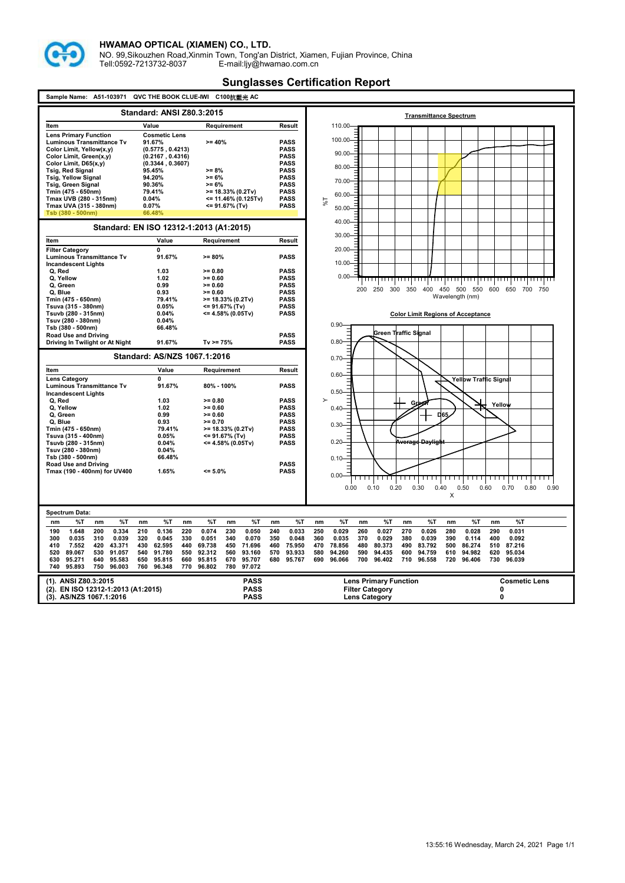

NO. 99,Sikouzhen Road,Xinmin Town, Tong'an District, Xiamen, Fujian Province, China Tell:0592-7213732-8037 E-mail:ljy@hwamao.com.cn

| Sample Name:<br>A51-103971                             | QVC THE BOOK CLUE-IWI                        | C100抗藍光 AC                               |                               |                                                                            |                                          |
|--------------------------------------------------------|----------------------------------------------|------------------------------------------|-------------------------------|----------------------------------------------------------------------------|------------------------------------------|
| <b>Standard: ANSI Z80.3:2015</b>                       |                                              |                                          | <b>Transmittance Spectrum</b> |                                                                            |                                          |
| Item                                                   | Value                                        | Requirement                              | Result                        | 110.00                                                                     |                                          |
| <b>Lens Primary Function</b>                           | <b>Cosmetic Lens</b>                         |                                          |                               |                                                                            |                                          |
| <b>Luminous Transmittance Tv</b>                       | 91.67%                                       | $>= 40%$                                 | <b>PASS</b>                   | 100.00                                                                     |                                          |
| Color Limit, Yellow(x,y)                               | (0.5775, 0.4213)                             |                                          | <b>PASS</b>                   | $90.00 -$                                                                  |                                          |
| Color Limit, Green(x,y)                                | (0.2167, 0.4316)                             |                                          | <b>PASS</b>                   |                                                                            |                                          |
| Color Limit, D65(x,y)                                  | (0.3344, 0.3607)                             |                                          | <b>PASS</b>                   | 80.00-                                                                     |                                          |
| <b>Tsig, Red Signal</b><br><b>Tsig, Yellow Signal</b>  | 95.45%<br>94.20%                             | $>= 8%$<br>$>= 6%$                       | <b>PASS</b><br><b>PASS</b>    |                                                                            |                                          |
| <b>Tsig, Green Signal</b>                              | 90.36%                                       | $>= 6%$                                  | <b>PASS</b>                   | 70.00-                                                                     |                                          |
| Tmin (475 - 650nm)                                     | 79.41%                                       | $>= 18.33\% (0.2Tv)$                     | <b>PASS</b>                   |                                                                            |                                          |
| Tmax UVB (280 - 315nm)                                 | 0.04%                                        | <= 11.46% (0.125Tv)                      | <b>PASS</b>                   | 60.00                                                                      |                                          |
| Tmax UVA (315 - 380nm)                                 | 0.07%                                        | <= 91.67% (Tv)                           | <b>PASS</b>                   | 1%<br>$50.00 -$                                                            |                                          |
| Tsb (380 - 500nm)                                      | 66.48%                                       |                                          |                               |                                                                            |                                          |
|                                                        |                                              |                                          |                               | 40.00-                                                                     |                                          |
|                                                        | Standard: EN ISO 12312-1:2013 (A1:2015)      |                                          |                               | $30.00 -$                                                                  |                                          |
| Item                                                   | Value                                        | Requirement                              | Result                        |                                                                            |                                          |
| <b>Filter Category</b>                                 | 0                                            |                                          |                               | 20.00-                                                                     |                                          |
| <b>Luminous Transmittance Tv</b>                       | 91.67%                                       | $>= 80%$                                 | <b>PASS</b>                   |                                                                            |                                          |
| <b>Incandescent Lights</b>                             |                                              |                                          |                               | $10.00 -$                                                                  |                                          |
| Q, Red                                                 | 1.03                                         | $>= 0.80$                                | <b>PASS</b>                   |                                                                            |                                          |
| Q, Yellow                                              | 1.02                                         | $>= 0.60$                                | <b>PASS</b>                   | $0.00 -$                                                                   | ,,,,,,,,,,,,,,,,                         |
| Q, Green                                               | 0.99                                         | $>= 0.60$                                | <b>PASS</b>                   | 400 450 500 550<br>250<br>300<br>350<br>200                                | 600 650<br>700 750                       |
| Q, Blue                                                | 0.93                                         | $>= 0.60$                                | <b>PASS</b>                   | Wavelength (nm)                                                            |                                          |
| Tmin (475 - 650nm)<br>Tsuva (315 - 380nm)              | 79.41%<br>0.05%                              | $>= 18.33\% (0.2Tv)$<br><= 91.67% (Tv)   | <b>PASS</b><br><b>PASS</b>    |                                                                            |                                          |
| Tsuvb (280 - 315nm)                                    | 0.04%                                        | <= 4.58% (0.05Tv)                        | <b>PASS</b>                   | <b>Color Limit Regions of Acceptance</b>                                   |                                          |
| Tsuv (280 - 380nm)                                     | 0.04%                                        |                                          |                               |                                                                            |                                          |
| Tsb (380 - 500nm)                                      | 66.48%                                       |                                          |                               | $0.90 -$                                                                   |                                          |
| <b>Road Use and Driving</b>                            |                                              |                                          | <b>PASS</b>                   | Green Traffic Signal                                                       |                                          |
| Driving In Twilight or At Night                        | 91.67%                                       | $Tv = 75%$                               | <b>PASS</b>                   | 0.80                                                                       |                                          |
|                                                        | Standard: AS/NZS 1067.1:2016                 |                                          |                               | 0.70                                                                       |                                          |
| Item                                                   | Value                                        | Requirement                              | Result                        |                                                                            |                                          |
| <b>Lens Category</b>                                   | 0                                            |                                          |                               | $0.60 -$                                                                   | <b>Yellow Traffic Signal</b>             |
| Luminous Transmittance Tv                              | 91.67%                                       | 80% - 100%                               | <b>PASS</b>                   |                                                                            |                                          |
| <b>Incandescent Lights</b>                             |                                              |                                          |                               | 0.50                                                                       |                                          |
| Q, Red                                                 | 1.03                                         | $>= 0.80$                                | <b>PASS</b>                   | $\rightarrow$<br>Green                                                     | Yellow                                   |
| Q, Yellow                                              | 1.02                                         | $>= 0.60$                                | <b>PASS</b>                   | $0.40 -$                                                                   |                                          |
| Q. Green<br>Q. Blue                                    | 0.99<br>0.93                                 | $>= 0.60$<br>$>= 0.70$                   | <b>PASS</b><br><b>PASS</b>    | D65                                                                        |                                          |
| Tmin (475 - 650nm)                                     | 79.41%                                       | >= 18.33% (0.2Tv)                        | <b>PASS</b>                   | 0.30                                                                       |                                          |
| Tsuva (315 - 400nm)                                    | 0.05%                                        | <= 91.67% (Tv)                           | <b>PASS</b>                   |                                                                            |                                          |
| Tsuvb (280 - 315nm)                                    | 0.04%                                        | <= 4.58% (0.05Tv)                        | <b>PASS</b>                   | $0.20 -$<br>Average Daylight                                               |                                          |
| Tsuv (280 - 380nm)                                     | 0.04%                                        |                                          |                               |                                                                            |                                          |
| Tsb (380 - 500nm)                                      | 66.48%                                       |                                          |                               | 0.10                                                                       |                                          |
| Road Use and Driving                                   |                                              |                                          | <b>PASS</b>                   |                                                                            |                                          |
| Tmax (190 - 400nm) for UV400                           | 1.65%                                        | $= 5.0%$                                 | <b>PASS</b>                   | 0.00                                                                       |                                          |
|                                                        |                                              |                                          |                               |                                                                            |                                          |
|                                                        |                                              |                                          |                               | 0.00<br>0.10<br>0.20<br>0.30<br>0.40                                       | 0.50<br>0.60<br>0.70<br>0.80<br>0.90     |
|                                                        |                                              |                                          |                               | X                                                                          |                                          |
|                                                        |                                              |                                          |                               |                                                                            |                                          |
| Spectrum Data:                                         |                                              |                                          |                               |                                                                            |                                          |
| %T<br>%T<br>nm<br>nm                                   | %T<br>nm<br>nm                               | %T<br>%T<br>nm                           | %T<br>nm                      | %Т<br>%T<br>%T<br>nm<br>nm<br>nm<br>nm                                     | %T<br>%T<br>nm                           |
| 1.648<br>200<br>0.334<br>190                           | 210<br>0.136<br>220                          | 0.074<br>230<br>0.050                    | 240<br>0.033                  | 250<br>0.029<br>260<br>0.027<br>270<br>0.026<br>280                        | 0.028<br>290<br>0.031                    |
| 0.035<br>310<br>0.039<br>300                           | 320<br>0.045<br>330                          | 0.051<br>340<br>0.070                    | 350<br>0.048                  | 360<br>0.035<br>370<br>0.029<br>380<br>0.039<br>390                        | 0.114<br>400<br>0.092                    |
| 410<br>7.552<br>420<br>43.371                          | 430<br>62.595<br>440                         | 69.738<br>450<br>71.696                  | 460<br>75.950                 | 500<br>470<br>78.856<br>480<br>80.373<br>490<br>83.792                     | 86.274<br>510<br>87.216                  |
| 89.067<br>530<br>91.057<br>520<br>95.583               | 540<br>91.780<br>550                         | 92.312<br>560<br>93.160<br>95.707        | 570<br>93.933                 | 580<br>94.260<br>590<br>94.435<br>600<br>94.759<br>610<br>96.402<br>96.558 | 94.982<br>620<br>95.034<br>730<br>96.039 |
| 630<br>95.271<br>640<br>740<br>95.893<br>750<br>96.003 | 650<br>95.815<br>660<br>760<br>96.348<br>770 | 95.815<br>670<br>96.802<br>780<br>97.072 | 680<br>95.767                 | 690<br>96.066<br>700<br>710<br>720                                         | 96.406                                   |
|                                                        |                                              |                                          |                               |                                                                            |                                          |
| (1). ANSI Z80.3:2015                                   |                                              | <b>PASS</b>                              |                               | <b>Lens Primary Function</b>                                               | <b>Cosmetic Lens</b>                     |
| (2). EN ISO 12312-1:2013 (A1:2015)                     |                                              | <b>PASS</b>                              |                               | <b>Filter Category</b>                                                     | 0                                        |
| (3). AS/NZS 1067.1:2016                                |                                              | <b>PASS</b>                              |                               | <b>Lens Category</b>                                                       | 0                                        |
|                                                        |                                              |                                          |                               |                                                                            |                                          |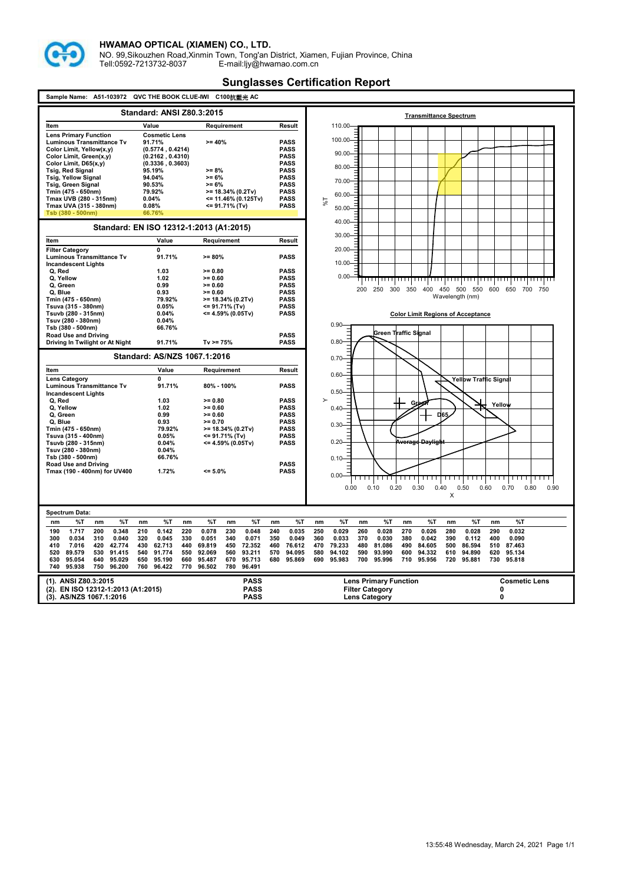

NO. 99,Sikouzhen Road,Xinmin Town, Tong'an District, Xiamen, Fujian Province, China Tell:0592-7213732-8037 E-mail:ljy@hwamao.com.cn

| <b>Standard: ANSI Z80.3:2015</b><br><b>Transmittance Spectrum</b><br>Value<br>Item<br>Requirement<br>Result<br>110.00-<br><b>Cosmetic Lens</b><br><b>Lens Primary Function</b><br>100.00<br><b>Luminous Transmittance Tv</b><br>91.71%<br>$>= 40%$<br><b>PASS</b><br>Color Limit, Yellow(x,y)<br>(0.5774.0.4214)<br><b>PASS</b><br>$90.00 -$<br><b>PASS</b><br>Color Limit, Green(x,y)<br>(0.2162, 0.4310)<br>Color Limit, D65(x,y)<br>(0.3336, 0.3603)<br><b>PASS</b><br>80.00-<br><b>Tsig, Red Signal</b><br>$>= 8%$<br><b>PASS</b><br>95.19%<br><b>Tsig, Yellow Signal</b><br>94.04%<br>$>= 6%$<br><b>PASS</b><br>70.00-<br><b>PASS</b><br><b>Tsig, Green Signal</b><br>90.53%<br>$>= 6%$<br><b>PASS</b><br>Tmin (475 - 650nm)<br>>= 18.34% (0.2Tv)<br>79.92%<br>60.00<br>Tmax UVB (280 - 315nm)<br><= 11.46% (0.125Tv)<br><b>PASS</b><br>0.04%<br>1%<br>Tmax UVA (315 - 380nm)<br>0.08%<br><= 91.71% (Tv)<br><b>PASS</b><br>$50.00 -$<br>Tsb (380 - 500nm)<br>66.76%<br>40.00-<br>Standard: EN ISO 12312-1:2013 (A1:2015)<br>$30.00 -$<br>Value<br>Item<br>Requirement<br>Result<br>$20.00 -$<br>0<br><b>Filter Category</b><br>Luminous Transmittance Tv<br>91.71%<br>$>= 80%$<br><b>PASS</b><br>$10.00 -$<br><b>Incandescent Lights</b><br>Q, Red<br>1.03<br>$>= 0.80$<br><b>PASS</b><br>$0.00 -$<br>Q. Yellow<br>1.02<br>$= 0.60$<br><b>PASS</b><br>,,,,,,,,,<br>,,,,,,,,,,<br>.<br>,,,,,,,,,,<br>$>= 0.60$<br>Q. Green<br>0.99<br><b>PASS</b><br>450 500 550<br>600 650<br>200<br>250<br>300<br>350 400<br>700 750<br>Q. Blue<br>0.93<br>$>= 0.60$<br><b>PASS</b><br>Wavelength (nm)<br><b>PASS</b><br>Tmin (475 - 650nm)<br>79.92%<br>$>= 18.34\% (0.2Tv)$<br>Tsuva (315 - 380nm)<br>0.05%<br><b>PASS</b><br><= 91.71% (Tv)<br>Tsuvb (280 - 315nm)<br>0.04%<br><= 4.59% (0.05Tv)<br><b>PASS</b><br><b>Color Limit Regions of Acceptance</b><br>Tsuv (280 - 380nm)<br>0.04%<br>$0.90 -$<br>Tsb (380 - 500nm)<br>66.76%<br>Green Traffic Signal<br>Road Use and Driving<br><b>PASS</b><br>0.80<br>Driving In Twilight or At Night<br>91.71%<br>$Tv = 75%$<br><b>PASS</b><br>Standard: AS/NZS 1067.1:2016<br>$0.70 -$<br>Value<br>Requirement<br>Result<br>ltem<br>$0.60 -$<br>0<br><b>Lens Category</b><br><b>Yellow Traffic Signal</b><br>91.71%<br><b>PASS</b><br>Luminous Transmittance Tv<br>80% - 100%<br>0.50<br><b>Incandescent Lights</b><br>Q, Red<br>1.03<br>$>= 0.80$<br><b>PASS</b><br>$\mathbf{r}$<br>G<br>Yellow<br>Q, Yellow<br>1.02<br>$>= 0.60$<br><b>PASS</b><br>0.40<br>Q, Green<br>0.99<br>$>= 0.60$<br><b>PASS</b><br>D65<br>Q. Blue<br>0.93<br>$>= 0.70$<br><b>PASS</b><br>$0.30 -$<br>Tmin (475 - 650nm)<br>79.92%<br>>= 18.34% (0.2Tv)<br><b>PASS</b><br><b>PASS</b><br>Tsuva (315 - 400nm)<br>0.05%<br><= 91.71% (Tv)<br>$0.20 -$<br><del>Average Daylight</del><br>Tsuvb (280 - 315nm)<br><= 4.59% (0.05Tv)<br><b>PASS</b><br>0.04%<br>Tsuv (280 - 380nm)<br>0.04%<br>Tsb (380 - 500nm)<br>66.76%<br>$0.10 -$<br><b>Road Use and Driving</b><br><b>PASS</b><br>Tmax (190 - 400nm) for UV400<br>$= 5.0%$<br><b>PASS</b><br>1.72%<br>$0.00 -$<br>0.00<br>0.30<br>0.40<br>0.50<br>0.60<br>0.10<br>0.20<br>0.70<br>0.80<br>0.90<br>X<br>Spectrum Data:<br>%T<br>%T<br>%T<br>%T<br>%T<br>%T<br>%T<br>%T<br>%T<br>%T<br>%T<br>nm<br>nm<br>nm<br>nm<br>nm<br>nm<br>nm<br>nm<br>nm<br>nm<br>nm<br>1.717<br>200<br>0.348<br>210<br>0.142<br>220<br>0.078<br>230<br>0.048<br>240<br>0.035<br>250<br>0.029<br>0.028<br>270<br>0.026<br>280<br>0.028<br>290<br>0.032<br>190<br>260<br>300<br>0.034<br>310<br>0.040<br>320<br>0.045<br>330<br>0.051<br>340<br>0.071<br>350<br>0.049<br>360<br>0.033<br>370<br>0.030<br>380<br>0.042<br>390<br>0.112<br>400<br>0.090<br>7.016<br>420<br>42.774<br>430<br>62.713<br>69.819<br>450<br>72.352<br>460<br>76.612<br>470<br>79.233<br>480<br>81.086<br>490<br>84.605<br>500<br>86.594<br>510<br>410<br>440<br>87.463<br>520<br>89.579<br>530<br>91.415<br>540<br>91.774<br>550<br>92.069<br>560<br>93.211<br>570<br>94.095<br>580<br>94.102<br>590<br>93.990<br>600<br>94.332<br>610<br>94.890<br>620<br>95.134<br>95.054<br>640<br>95.029<br>650<br>95.190<br>660<br>95.487<br>670<br>95.713<br>680<br>95.869<br>690<br>95.983<br>700<br>95.996<br>710<br>95.956<br>720<br>95.881<br>730<br>95.818<br>630<br>95.938<br>750<br>96.200<br>760<br>96.422<br>770<br>96.502<br>780<br>96.491<br>740<br>(1). ANSI Z80.3:2015<br><b>PASS</b><br><b>Lens Primary Function</b><br><b>Cosmetic Lens</b><br>(2). EN ISO 12312-1:2013 (A1:2015)<br><b>PASS</b><br><b>Filter Category</b><br>0 | Sample Name: A51-103972<br>QVC THE BOOK CLUE-IWI C100抗藍光 AC |  |             |  |                           |  |
|-------------------------------------------------------------------------------------------------------------------------------------------------------------------------------------------------------------------------------------------------------------------------------------------------------------------------------------------------------------------------------------------------------------------------------------------------------------------------------------------------------------------------------------------------------------------------------------------------------------------------------------------------------------------------------------------------------------------------------------------------------------------------------------------------------------------------------------------------------------------------------------------------------------------------------------------------------------------------------------------------------------------------------------------------------------------------------------------------------------------------------------------------------------------------------------------------------------------------------------------------------------------------------------------------------------------------------------------------------------------------------------------------------------------------------------------------------------------------------------------------------------------------------------------------------------------------------------------------------------------------------------------------------------------------------------------------------------------------------------------------------------------------------------------------------------------------------------------------------------------------------------------------------------------------------------------------------------------------------------------------------------------------------------------------------------------------------------------------------------------------------------------------------------------------------------------------------------------------------------------------------------------------------------------------------------------------------------------------------------------------------------------------------------------------------------------------------------------------------------------------------------------------------------------------------------------------------------------------------------------------------------------------------------------------------------------------------------------------------------------------------------------------------------------------------------------------------------------------------------------------------------------------------------------------------------------------------------------------------------------------------------------------------------------------------------------------------------------------------------------------------------------------------------------------------------------------------------------------------------------------------------------------------------------------------------------------------------------------------------------------------------------------------------------------------------------------------------------------------------------------------------------------------------------------------------------------------------------------------------------------------------------------------------------------------------------------------------------------------------------------------------------------------------------------------------------------------------------------------------------------------------------------------------------------------------------------------------------------------------------------------------------------------------------------------------------------------------------------------------------------------------------------------------------------------------------------------------------------------------------------------------------------------------------------------------------------------------------------------------------------------------------------------------------------------------------------------------------------------------------------------------------------------------------------|-------------------------------------------------------------|--|-------------|--|---------------------------|--|
|                                                                                                                                                                                                                                                                                                                                                                                                                                                                                                                                                                                                                                                                                                                                                                                                                                                                                                                                                                                                                                                                                                                                                                                                                                                                                                                                                                                                                                                                                                                                                                                                                                                                                                                                                                                                                                                                                                                                                                                                                                                                                                                                                                                                                                                                                                                                                                                                                                                                                                                                                                                                                                                                                                                                                                                                                                                                                                                                                                                                                                                                                                                                                                                                                                                                                                                                                                                                                                                                                                                                                                                                                                                                                                                                                                                                                                                                                                                                                                                                                                                                                                                                                                                                                                                                                                                                                                                                                                                                                                                                                 |                                                             |  |             |  |                           |  |
|                                                                                                                                                                                                                                                                                                                                                                                                                                                                                                                                                                                                                                                                                                                                                                                                                                                                                                                                                                                                                                                                                                                                                                                                                                                                                                                                                                                                                                                                                                                                                                                                                                                                                                                                                                                                                                                                                                                                                                                                                                                                                                                                                                                                                                                                                                                                                                                                                                                                                                                                                                                                                                                                                                                                                                                                                                                                                                                                                                                                                                                                                                                                                                                                                                                                                                                                                                                                                                                                                                                                                                                                                                                                                                                                                                                                                                                                                                                                                                                                                                                                                                                                                                                                                                                                                                                                                                                                                                                                                                                                                 |                                                             |  |             |  |                           |  |
|                                                                                                                                                                                                                                                                                                                                                                                                                                                                                                                                                                                                                                                                                                                                                                                                                                                                                                                                                                                                                                                                                                                                                                                                                                                                                                                                                                                                                                                                                                                                                                                                                                                                                                                                                                                                                                                                                                                                                                                                                                                                                                                                                                                                                                                                                                                                                                                                                                                                                                                                                                                                                                                                                                                                                                                                                                                                                                                                                                                                                                                                                                                                                                                                                                                                                                                                                                                                                                                                                                                                                                                                                                                                                                                                                                                                                                                                                                                                                                                                                                                                                                                                                                                                                                                                                                                                                                                                                                                                                                                                                 |                                                             |  |             |  |                           |  |
|                                                                                                                                                                                                                                                                                                                                                                                                                                                                                                                                                                                                                                                                                                                                                                                                                                                                                                                                                                                                                                                                                                                                                                                                                                                                                                                                                                                                                                                                                                                                                                                                                                                                                                                                                                                                                                                                                                                                                                                                                                                                                                                                                                                                                                                                                                                                                                                                                                                                                                                                                                                                                                                                                                                                                                                                                                                                                                                                                                                                                                                                                                                                                                                                                                                                                                                                                                                                                                                                                                                                                                                                                                                                                                                                                                                                                                                                                                                                                                                                                                                                                                                                                                                                                                                                                                                                                                                                                                                                                                                                                 |                                                             |  |             |  |                           |  |
|                                                                                                                                                                                                                                                                                                                                                                                                                                                                                                                                                                                                                                                                                                                                                                                                                                                                                                                                                                                                                                                                                                                                                                                                                                                                                                                                                                                                                                                                                                                                                                                                                                                                                                                                                                                                                                                                                                                                                                                                                                                                                                                                                                                                                                                                                                                                                                                                                                                                                                                                                                                                                                                                                                                                                                                                                                                                                                                                                                                                                                                                                                                                                                                                                                                                                                                                                                                                                                                                                                                                                                                                                                                                                                                                                                                                                                                                                                                                                                                                                                                                                                                                                                                                                                                                                                                                                                                                                                                                                                                                                 |                                                             |  |             |  |                           |  |
|                                                                                                                                                                                                                                                                                                                                                                                                                                                                                                                                                                                                                                                                                                                                                                                                                                                                                                                                                                                                                                                                                                                                                                                                                                                                                                                                                                                                                                                                                                                                                                                                                                                                                                                                                                                                                                                                                                                                                                                                                                                                                                                                                                                                                                                                                                                                                                                                                                                                                                                                                                                                                                                                                                                                                                                                                                                                                                                                                                                                                                                                                                                                                                                                                                                                                                                                                                                                                                                                                                                                                                                                                                                                                                                                                                                                                                                                                                                                                                                                                                                                                                                                                                                                                                                                                                                                                                                                                                                                                                                                                 |                                                             |  |             |  |                           |  |
|                                                                                                                                                                                                                                                                                                                                                                                                                                                                                                                                                                                                                                                                                                                                                                                                                                                                                                                                                                                                                                                                                                                                                                                                                                                                                                                                                                                                                                                                                                                                                                                                                                                                                                                                                                                                                                                                                                                                                                                                                                                                                                                                                                                                                                                                                                                                                                                                                                                                                                                                                                                                                                                                                                                                                                                                                                                                                                                                                                                                                                                                                                                                                                                                                                                                                                                                                                                                                                                                                                                                                                                                                                                                                                                                                                                                                                                                                                                                                                                                                                                                                                                                                                                                                                                                                                                                                                                                                                                                                                                                                 |                                                             |  |             |  |                           |  |
|                                                                                                                                                                                                                                                                                                                                                                                                                                                                                                                                                                                                                                                                                                                                                                                                                                                                                                                                                                                                                                                                                                                                                                                                                                                                                                                                                                                                                                                                                                                                                                                                                                                                                                                                                                                                                                                                                                                                                                                                                                                                                                                                                                                                                                                                                                                                                                                                                                                                                                                                                                                                                                                                                                                                                                                                                                                                                                                                                                                                                                                                                                                                                                                                                                                                                                                                                                                                                                                                                                                                                                                                                                                                                                                                                                                                                                                                                                                                                                                                                                                                                                                                                                                                                                                                                                                                                                                                                                                                                                                                                 |                                                             |  |             |  |                           |  |
|                                                                                                                                                                                                                                                                                                                                                                                                                                                                                                                                                                                                                                                                                                                                                                                                                                                                                                                                                                                                                                                                                                                                                                                                                                                                                                                                                                                                                                                                                                                                                                                                                                                                                                                                                                                                                                                                                                                                                                                                                                                                                                                                                                                                                                                                                                                                                                                                                                                                                                                                                                                                                                                                                                                                                                                                                                                                                                                                                                                                                                                                                                                                                                                                                                                                                                                                                                                                                                                                                                                                                                                                                                                                                                                                                                                                                                                                                                                                                                                                                                                                                                                                                                                                                                                                                                                                                                                                                                                                                                                                                 |                                                             |  |             |  |                           |  |
|                                                                                                                                                                                                                                                                                                                                                                                                                                                                                                                                                                                                                                                                                                                                                                                                                                                                                                                                                                                                                                                                                                                                                                                                                                                                                                                                                                                                                                                                                                                                                                                                                                                                                                                                                                                                                                                                                                                                                                                                                                                                                                                                                                                                                                                                                                                                                                                                                                                                                                                                                                                                                                                                                                                                                                                                                                                                                                                                                                                                                                                                                                                                                                                                                                                                                                                                                                                                                                                                                                                                                                                                                                                                                                                                                                                                                                                                                                                                                                                                                                                                                                                                                                                                                                                                                                                                                                                                                                                                                                                                                 |                                                             |  |             |  |                           |  |
|                                                                                                                                                                                                                                                                                                                                                                                                                                                                                                                                                                                                                                                                                                                                                                                                                                                                                                                                                                                                                                                                                                                                                                                                                                                                                                                                                                                                                                                                                                                                                                                                                                                                                                                                                                                                                                                                                                                                                                                                                                                                                                                                                                                                                                                                                                                                                                                                                                                                                                                                                                                                                                                                                                                                                                                                                                                                                                                                                                                                                                                                                                                                                                                                                                                                                                                                                                                                                                                                                                                                                                                                                                                                                                                                                                                                                                                                                                                                                                                                                                                                                                                                                                                                                                                                                                                                                                                                                                                                                                                                                 |                                                             |  |             |  |                           |  |
|                                                                                                                                                                                                                                                                                                                                                                                                                                                                                                                                                                                                                                                                                                                                                                                                                                                                                                                                                                                                                                                                                                                                                                                                                                                                                                                                                                                                                                                                                                                                                                                                                                                                                                                                                                                                                                                                                                                                                                                                                                                                                                                                                                                                                                                                                                                                                                                                                                                                                                                                                                                                                                                                                                                                                                                                                                                                                                                                                                                                                                                                                                                                                                                                                                                                                                                                                                                                                                                                                                                                                                                                                                                                                                                                                                                                                                                                                                                                                                                                                                                                                                                                                                                                                                                                                                                                                                                                                                                                                                                                                 |                                                             |  |             |  |                           |  |
|                                                                                                                                                                                                                                                                                                                                                                                                                                                                                                                                                                                                                                                                                                                                                                                                                                                                                                                                                                                                                                                                                                                                                                                                                                                                                                                                                                                                                                                                                                                                                                                                                                                                                                                                                                                                                                                                                                                                                                                                                                                                                                                                                                                                                                                                                                                                                                                                                                                                                                                                                                                                                                                                                                                                                                                                                                                                                                                                                                                                                                                                                                                                                                                                                                                                                                                                                                                                                                                                                                                                                                                                                                                                                                                                                                                                                                                                                                                                                                                                                                                                                                                                                                                                                                                                                                                                                                                                                                                                                                                                                 |                                                             |  |             |  |                           |  |
|                                                                                                                                                                                                                                                                                                                                                                                                                                                                                                                                                                                                                                                                                                                                                                                                                                                                                                                                                                                                                                                                                                                                                                                                                                                                                                                                                                                                                                                                                                                                                                                                                                                                                                                                                                                                                                                                                                                                                                                                                                                                                                                                                                                                                                                                                                                                                                                                                                                                                                                                                                                                                                                                                                                                                                                                                                                                                                                                                                                                                                                                                                                                                                                                                                                                                                                                                                                                                                                                                                                                                                                                                                                                                                                                                                                                                                                                                                                                                                                                                                                                                                                                                                                                                                                                                                                                                                                                                                                                                                                                                 |                                                             |  |             |  |                           |  |
|                                                                                                                                                                                                                                                                                                                                                                                                                                                                                                                                                                                                                                                                                                                                                                                                                                                                                                                                                                                                                                                                                                                                                                                                                                                                                                                                                                                                                                                                                                                                                                                                                                                                                                                                                                                                                                                                                                                                                                                                                                                                                                                                                                                                                                                                                                                                                                                                                                                                                                                                                                                                                                                                                                                                                                                                                                                                                                                                                                                                                                                                                                                                                                                                                                                                                                                                                                                                                                                                                                                                                                                                                                                                                                                                                                                                                                                                                                                                                                                                                                                                                                                                                                                                                                                                                                                                                                                                                                                                                                                                                 |                                                             |  |             |  |                           |  |
|                                                                                                                                                                                                                                                                                                                                                                                                                                                                                                                                                                                                                                                                                                                                                                                                                                                                                                                                                                                                                                                                                                                                                                                                                                                                                                                                                                                                                                                                                                                                                                                                                                                                                                                                                                                                                                                                                                                                                                                                                                                                                                                                                                                                                                                                                                                                                                                                                                                                                                                                                                                                                                                                                                                                                                                                                                                                                                                                                                                                                                                                                                                                                                                                                                                                                                                                                                                                                                                                                                                                                                                                                                                                                                                                                                                                                                                                                                                                                                                                                                                                                                                                                                                                                                                                                                                                                                                                                                                                                                                                                 |                                                             |  |             |  |                           |  |
|                                                                                                                                                                                                                                                                                                                                                                                                                                                                                                                                                                                                                                                                                                                                                                                                                                                                                                                                                                                                                                                                                                                                                                                                                                                                                                                                                                                                                                                                                                                                                                                                                                                                                                                                                                                                                                                                                                                                                                                                                                                                                                                                                                                                                                                                                                                                                                                                                                                                                                                                                                                                                                                                                                                                                                                                                                                                                                                                                                                                                                                                                                                                                                                                                                                                                                                                                                                                                                                                                                                                                                                                                                                                                                                                                                                                                                                                                                                                                                                                                                                                                                                                                                                                                                                                                                                                                                                                                                                                                                                                                 |                                                             |  |             |  |                           |  |
|                                                                                                                                                                                                                                                                                                                                                                                                                                                                                                                                                                                                                                                                                                                                                                                                                                                                                                                                                                                                                                                                                                                                                                                                                                                                                                                                                                                                                                                                                                                                                                                                                                                                                                                                                                                                                                                                                                                                                                                                                                                                                                                                                                                                                                                                                                                                                                                                                                                                                                                                                                                                                                                                                                                                                                                                                                                                                                                                                                                                                                                                                                                                                                                                                                                                                                                                                                                                                                                                                                                                                                                                                                                                                                                                                                                                                                                                                                                                                                                                                                                                                                                                                                                                                                                                                                                                                                                                                                                                                                                                                 |                                                             |  |             |  |                           |  |
|                                                                                                                                                                                                                                                                                                                                                                                                                                                                                                                                                                                                                                                                                                                                                                                                                                                                                                                                                                                                                                                                                                                                                                                                                                                                                                                                                                                                                                                                                                                                                                                                                                                                                                                                                                                                                                                                                                                                                                                                                                                                                                                                                                                                                                                                                                                                                                                                                                                                                                                                                                                                                                                                                                                                                                                                                                                                                                                                                                                                                                                                                                                                                                                                                                                                                                                                                                                                                                                                                                                                                                                                                                                                                                                                                                                                                                                                                                                                                                                                                                                                                                                                                                                                                                                                                                                                                                                                                                                                                                                                                 |                                                             |  |             |  |                           |  |
|                                                                                                                                                                                                                                                                                                                                                                                                                                                                                                                                                                                                                                                                                                                                                                                                                                                                                                                                                                                                                                                                                                                                                                                                                                                                                                                                                                                                                                                                                                                                                                                                                                                                                                                                                                                                                                                                                                                                                                                                                                                                                                                                                                                                                                                                                                                                                                                                                                                                                                                                                                                                                                                                                                                                                                                                                                                                                                                                                                                                                                                                                                                                                                                                                                                                                                                                                                                                                                                                                                                                                                                                                                                                                                                                                                                                                                                                                                                                                                                                                                                                                                                                                                                                                                                                                                                                                                                                                                                                                                                                                 |                                                             |  |             |  |                           |  |
|                                                                                                                                                                                                                                                                                                                                                                                                                                                                                                                                                                                                                                                                                                                                                                                                                                                                                                                                                                                                                                                                                                                                                                                                                                                                                                                                                                                                                                                                                                                                                                                                                                                                                                                                                                                                                                                                                                                                                                                                                                                                                                                                                                                                                                                                                                                                                                                                                                                                                                                                                                                                                                                                                                                                                                                                                                                                                                                                                                                                                                                                                                                                                                                                                                                                                                                                                                                                                                                                                                                                                                                                                                                                                                                                                                                                                                                                                                                                                                                                                                                                                                                                                                                                                                                                                                                                                                                                                                                                                                                                                 |                                                             |  |             |  |                           |  |
|                                                                                                                                                                                                                                                                                                                                                                                                                                                                                                                                                                                                                                                                                                                                                                                                                                                                                                                                                                                                                                                                                                                                                                                                                                                                                                                                                                                                                                                                                                                                                                                                                                                                                                                                                                                                                                                                                                                                                                                                                                                                                                                                                                                                                                                                                                                                                                                                                                                                                                                                                                                                                                                                                                                                                                                                                                                                                                                                                                                                                                                                                                                                                                                                                                                                                                                                                                                                                                                                                                                                                                                                                                                                                                                                                                                                                                                                                                                                                                                                                                                                                                                                                                                                                                                                                                                                                                                                                                                                                                                                                 |                                                             |  |             |  |                           |  |
|                                                                                                                                                                                                                                                                                                                                                                                                                                                                                                                                                                                                                                                                                                                                                                                                                                                                                                                                                                                                                                                                                                                                                                                                                                                                                                                                                                                                                                                                                                                                                                                                                                                                                                                                                                                                                                                                                                                                                                                                                                                                                                                                                                                                                                                                                                                                                                                                                                                                                                                                                                                                                                                                                                                                                                                                                                                                                                                                                                                                                                                                                                                                                                                                                                                                                                                                                                                                                                                                                                                                                                                                                                                                                                                                                                                                                                                                                                                                                                                                                                                                                                                                                                                                                                                                                                                                                                                                                                                                                                                                                 |                                                             |  |             |  |                           |  |
|                                                                                                                                                                                                                                                                                                                                                                                                                                                                                                                                                                                                                                                                                                                                                                                                                                                                                                                                                                                                                                                                                                                                                                                                                                                                                                                                                                                                                                                                                                                                                                                                                                                                                                                                                                                                                                                                                                                                                                                                                                                                                                                                                                                                                                                                                                                                                                                                                                                                                                                                                                                                                                                                                                                                                                                                                                                                                                                                                                                                                                                                                                                                                                                                                                                                                                                                                                                                                                                                                                                                                                                                                                                                                                                                                                                                                                                                                                                                                                                                                                                                                                                                                                                                                                                                                                                                                                                                                                                                                                                                                 |                                                             |  |             |  |                           |  |
|                                                                                                                                                                                                                                                                                                                                                                                                                                                                                                                                                                                                                                                                                                                                                                                                                                                                                                                                                                                                                                                                                                                                                                                                                                                                                                                                                                                                                                                                                                                                                                                                                                                                                                                                                                                                                                                                                                                                                                                                                                                                                                                                                                                                                                                                                                                                                                                                                                                                                                                                                                                                                                                                                                                                                                                                                                                                                                                                                                                                                                                                                                                                                                                                                                                                                                                                                                                                                                                                                                                                                                                                                                                                                                                                                                                                                                                                                                                                                                                                                                                                                                                                                                                                                                                                                                                                                                                                                                                                                                                                                 |                                                             |  |             |  |                           |  |
|                                                                                                                                                                                                                                                                                                                                                                                                                                                                                                                                                                                                                                                                                                                                                                                                                                                                                                                                                                                                                                                                                                                                                                                                                                                                                                                                                                                                                                                                                                                                                                                                                                                                                                                                                                                                                                                                                                                                                                                                                                                                                                                                                                                                                                                                                                                                                                                                                                                                                                                                                                                                                                                                                                                                                                                                                                                                                                                                                                                                                                                                                                                                                                                                                                                                                                                                                                                                                                                                                                                                                                                                                                                                                                                                                                                                                                                                                                                                                                                                                                                                                                                                                                                                                                                                                                                                                                                                                                                                                                                                                 |                                                             |  |             |  |                           |  |
|                                                                                                                                                                                                                                                                                                                                                                                                                                                                                                                                                                                                                                                                                                                                                                                                                                                                                                                                                                                                                                                                                                                                                                                                                                                                                                                                                                                                                                                                                                                                                                                                                                                                                                                                                                                                                                                                                                                                                                                                                                                                                                                                                                                                                                                                                                                                                                                                                                                                                                                                                                                                                                                                                                                                                                                                                                                                                                                                                                                                                                                                                                                                                                                                                                                                                                                                                                                                                                                                                                                                                                                                                                                                                                                                                                                                                                                                                                                                                                                                                                                                                                                                                                                                                                                                                                                                                                                                                                                                                                                                                 |                                                             |  |             |  |                           |  |
|                                                                                                                                                                                                                                                                                                                                                                                                                                                                                                                                                                                                                                                                                                                                                                                                                                                                                                                                                                                                                                                                                                                                                                                                                                                                                                                                                                                                                                                                                                                                                                                                                                                                                                                                                                                                                                                                                                                                                                                                                                                                                                                                                                                                                                                                                                                                                                                                                                                                                                                                                                                                                                                                                                                                                                                                                                                                                                                                                                                                                                                                                                                                                                                                                                                                                                                                                                                                                                                                                                                                                                                                                                                                                                                                                                                                                                                                                                                                                                                                                                                                                                                                                                                                                                                                                                                                                                                                                                                                                                                                                 |                                                             |  |             |  |                           |  |
|                                                                                                                                                                                                                                                                                                                                                                                                                                                                                                                                                                                                                                                                                                                                                                                                                                                                                                                                                                                                                                                                                                                                                                                                                                                                                                                                                                                                                                                                                                                                                                                                                                                                                                                                                                                                                                                                                                                                                                                                                                                                                                                                                                                                                                                                                                                                                                                                                                                                                                                                                                                                                                                                                                                                                                                                                                                                                                                                                                                                                                                                                                                                                                                                                                                                                                                                                                                                                                                                                                                                                                                                                                                                                                                                                                                                                                                                                                                                                                                                                                                                                                                                                                                                                                                                                                                                                                                                                                                                                                                                                 |                                                             |  |             |  |                           |  |
|                                                                                                                                                                                                                                                                                                                                                                                                                                                                                                                                                                                                                                                                                                                                                                                                                                                                                                                                                                                                                                                                                                                                                                                                                                                                                                                                                                                                                                                                                                                                                                                                                                                                                                                                                                                                                                                                                                                                                                                                                                                                                                                                                                                                                                                                                                                                                                                                                                                                                                                                                                                                                                                                                                                                                                                                                                                                                                                                                                                                                                                                                                                                                                                                                                                                                                                                                                                                                                                                                                                                                                                                                                                                                                                                                                                                                                                                                                                                                                                                                                                                                                                                                                                                                                                                                                                                                                                                                                                                                                                                                 |                                                             |  |             |  |                           |  |
|                                                                                                                                                                                                                                                                                                                                                                                                                                                                                                                                                                                                                                                                                                                                                                                                                                                                                                                                                                                                                                                                                                                                                                                                                                                                                                                                                                                                                                                                                                                                                                                                                                                                                                                                                                                                                                                                                                                                                                                                                                                                                                                                                                                                                                                                                                                                                                                                                                                                                                                                                                                                                                                                                                                                                                                                                                                                                                                                                                                                                                                                                                                                                                                                                                                                                                                                                                                                                                                                                                                                                                                                                                                                                                                                                                                                                                                                                                                                                                                                                                                                                                                                                                                                                                                                                                                                                                                                                                                                                                                                                 |                                                             |  |             |  |                           |  |
|                                                                                                                                                                                                                                                                                                                                                                                                                                                                                                                                                                                                                                                                                                                                                                                                                                                                                                                                                                                                                                                                                                                                                                                                                                                                                                                                                                                                                                                                                                                                                                                                                                                                                                                                                                                                                                                                                                                                                                                                                                                                                                                                                                                                                                                                                                                                                                                                                                                                                                                                                                                                                                                                                                                                                                                                                                                                                                                                                                                                                                                                                                                                                                                                                                                                                                                                                                                                                                                                                                                                                                                                                                                                                                                                                                                                                                                                                                                                                                                                                                                                                                                                                                                                                                                                                                                                                                                                                                                                                                                                                 |                                                             |  |             |  |                           |  |
|                                                                                                                                                                                                                                                                                                                                                                                                                                                                                                                                                                                                                                                                                                                                                                                                                                                                                                                                                                                                                                                                                                                                                                                                                                                                                                                                                                                                                                                                                                                                                                                                                                                                                                                                                                                                                                                                                                                                                                                                                                                                                                                                                                                                                                                                                                                                                                                                                                                                                                                                                                                                                                                                                                                                                                                                                                                                                                                                                                                                                                                                                                                                                                                                                                                                                                                                                                                                                                                                                                                                                                                                                                                                                                                                                                                                                                                                                                                                                                                                                                                                                                                                                                                                                                                                                                                                                                                                                                                                                                                                                 |                                                             |  |             |  |                           |  |
|                                                                                                                                                                                                                                                                                                                                                                                                                                                                                                                                                                                                                                                                                                                                                                                                                                                                                                                                                                                                                                                                                                                                                                                                                                                                                                                                                                                                                                                                                                                                                                                                                                                                                                                                                                                                                                                                                                                                                                                                                                                                                                                                                                                                                                                                                                                                                                                                                                                                                                                                                                                                                                                                                                                                                                                                                                                                                                                                                                                                                                                                                                                                                                                                                                                                                                                                                                                                                                                                                                                                                                                                                                                                                                                                                                                                                                                                                                                                                                                                                                                                                                                                                                                                                                                                                                                                                                                                                                                                                                                                                 |                                                             |  |             |  |                           |  |
|                                                                                                                                                                                                                                                                                                                                                                                                                                                                                                                                                                                                                                                                                                                                                                                                                                                                                                                                                                                                                                                                                                                                                                                                                                                                                                                                                                                                                                                                                                                                                                                                                                                                                                                                                                                                                                                                                                                                                                                                                                                                                                                                                                                                                                                                                                                                                                                                                                                                                                                                                                                                                                                                                                                                                                                                                                                                                                                                                                                                                                                                                                                                                                                                                                                                                                                                                                                                                                                                                                                                                                                                                                                                                                                                                                                                                                                                                                                                                                                                                                                                                                                                                                                                                                                                                                                                                                                                                                                                                                                                                 |                                                             |  |             |  |                           |  |
|                                                                                                                                                                                                                                                                                                                                                                                                                                                                                                                                                                                                                                                                                                                                                                                                                                                                                                                                                                                                                                                                                                                                                                                                                                                                                                                                                                                                                                                                                                                                                                                                                                                                                                                                                                                                                                                                                                                                                                                                                                                                                                                                                                                                                                                                                                                                                                                                                                                                                                                                                                                                                                                                                                                                                                                                                                                                                                                                                                                                                                                                                                                                                                                                                                                                                                                                                                                                                                                                                                                                                                                                                                                                                                                                                                                                                                                                                                                                                                                                                                                                                                                                                                                                                                                                                                                                                                                                                                                                                                                                                 |                                                             |  |             |  |                           |  |
|                                                                                                                                                                                                                                                                                                                                                                                                                                                                                                                                                                                                                                                                                                                                                                                                                                                                                                                                                                                                                                                                                                                                                                                                                                                                                                                                                                                                                                                                                                                                                                                                                                                                                                                                                                                                                                                                                                                                                                                                                                                                                                                                                                                                                                                                                                                                                                                                                                                                                                                                                                                                                                                                                                                                                                                                                                                                                                                                                                                                                                                                                                                                                                                                                                                                                                                                                                                                                                                                                                                                                                                                                                                                                                                                                                                                                                                                                                                                                                                                                                                                                                                                                                                                                                                                                                                                                                                                                                                                                                                                                 |                                                             |  |             |  |                           |  |
|                                                                                                                                                                                                                                                                                                                                                                                                                                                                                                                                                                                                                                                                                                                                                                                                                                                                                                                                                                                                                                                                                                                                                                                                                                                                                                                                                                                                                                                                                                                                                                                                                                                                                                                                                                                                                                                                                                                                                                                                                                                                                                                                                                                                                                                                                                                                                                                                                                                                                                                                                                                                                                                                                                                                                                                                                                                                                                                                                                                                                                                                                                                                                                                                                                                                                                                                                                                                                                                                                                                                                                                                                                                                                                                                                                                                                                                                                                                                                                                                                                                                                                                                                                                                                                                                                                                                                                                                                                                                                                                                                 | (3). AS/NZS 1067.1:2016                                     |  | <b>PASS</b> |  | 0<br><b>Lens Category</b> |  |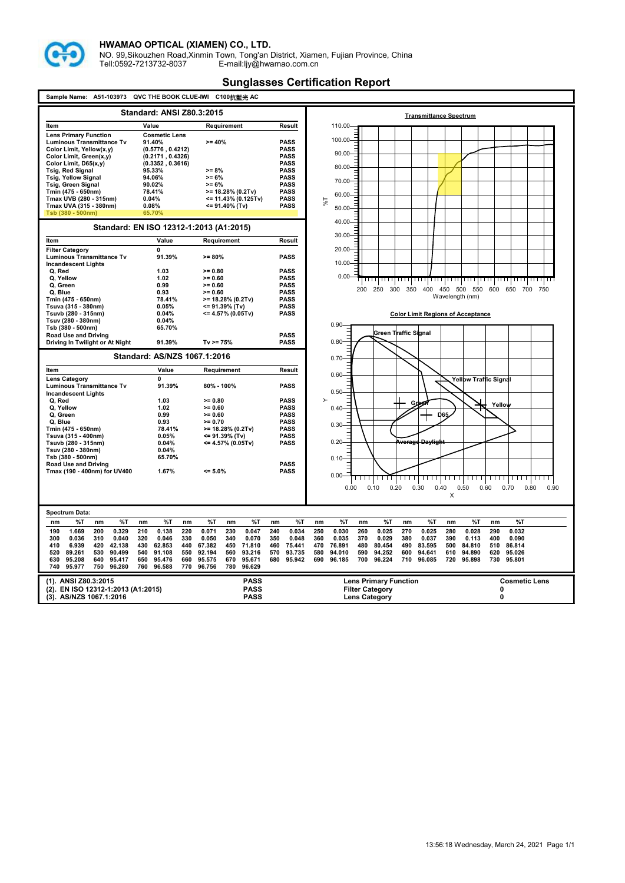

NO. 99,Sikouzhen Road,Xinmin Town, Tong'an District, Xiamen, Fujian Province, China Tell:0592-7213732-8037 E-mail:ljy@hwamao.com.cn

| QVC THE BOOK CLUE-IWI<br>C100抗藍光 AC<br>A51-103973<br>Sample Name: |                                         |                                                    |                               |                                                                                                                  |                                                    |
|-------------------------------------------------------------------|-----------------------------------------|----------------------------------------------------|-------------------------------|------------------------------------------------------------------------------------------------------------------|----------------------------------------------------|
| <b>Standard: ANSI Z80.3:2015</b>                                  |                                         |                                                    | <b>Transmittance Spectrum</b> |                                                                                                                  |                                                    |
| Item                                                              | Value                                   | Requirement                                        | Result                        | 110.00                                                                                                           |                                                    |
| <b>Lens Primary Function</b>                                      | <b>Cosmetic Lens</b>                    |                                                    |                               |                                                                                                                  |                                                    |
| <b>Luminous Transmittance Tv</b>                                  | 91.40%                                  | $>= 40%$                                           | <b>PASS</b>                   | 100.00                                                                                                           |                                                    |
| Color Limit, Yellow(x,y)                                          | (0.5776, 0.4212)                        |                                                    | <b>PASS</b>                   | $90.00 -$                                                                                                        |                                                    |
| Color Limit, Green(x,y)                                           | (0.2171, 0.4326)                        |                                                    | <b>PASS</b><br><b>PASS</b>    |                                                                                                                  |                                                    |
| Color Limit, D65(x,y)<br><b>Tsig, Red Signal</b>                  | (0.3352, 0.3616)<br>95.33%              | $>= 8%$                                            | <b>PASS</b>                   | 80.00-                                                                                                           |                                                    |
| <b>Tsig, Yellow Signal</b>                                        | 94.06%                                  | $>= 6%$                                            | <b>PASS</b>                   |                                                                                                                  |                                                    |
| <b>Tsig, Green Signal</b>                                         | 90.02%                                  | $>= 6%$                                            | <b>PASS</b>                   | 70.00-                                                                                                           |                                                    |
| Tmin (475 - 650nm)                                                | 78.41%                                  | $>= 18.28\% (0.2Tv)$                               | <b>PASS</b>                   | 60.00                                                                                                            |                                                    |
| Tmax UVB (280 - 315nm)                                            | 0.04%                                   | <= 11.43% (0.125Tv)                                | <b>PASS</b>                   | 1%                                                                                                               |                                                    |
| Tmax UVA (315 - 380nm)                                            | 0.08%                                   | <= 91.40% (Tv)                                     | <b>PASS</b>                   | $50.00 -$                                                                                                        |                                                    |
| Tsb (380 - 500nm)                                                 | 65.70%                                  |                                                    |                               |                                                                                                                  |                                                    |
|                                                                   | Standard: EN ISO 12312-1:2013 (A1:2015) |                                                    |                               | 40.00-                                                                                                           |                                                    |
| Item                                                              | Value                                   | Requirement                                        | Result                        | $30.00 -$                                                                                                        |                                                    |
| <b>Filter Category</b>                                            | 0                                       |                                                    |                               | 20.00-                                                                                                           |                                                    |
| <b>Luminous Transmittance Tv</b>                                  | 91.39%                                  | $>= 80%$                                           | <b>PASS</b>                   |                                                                                                                  |                                                    |
| <b>Incandescent Lights</b>                                        |                                         |                                                    |                               | $10.00 -$                                                                                                        |                                                    |
| Q, Red                                                            | 1.03                                    | $>= 0.80$                                          | <b>PASS</b>                   |                                                                                                                  |                                                    |
| Q, Yellow                                                         | 1.02                                    | $>= 0.60$                                          | <b>PASS</b>                   | $0.00 -$                                                                                                         | ,,,,,,,,,,,,,,,,                                   |
| Q, Green                                                          | 0.99                                    | $>= 0.60$                                          | <b>PASS</b>                   | 400<br>250<br>300<br>350<br>200                                                                                  | 450 500 550<br>600 650<br>700 750                  |
| Q, Blue                                                           | 0.93                                    | $>= 0.60$                                          | <b>PASS</b>                   | Wavelength (nm)                                                                                                  |                                                    |
| Tmin (475 - 650nm)<br>Tsuva (315 - 380nm)                         | 78.41%<br>0.05%                         | $>= 18.28\% (0.2Tv)$<br><= 91.39% (Tv)             | <b>PASS</b><br><b>PASS</b>    |                                                                                                                  |                                                    |
| Tsuvb (280 - 315nm)                                               | 0.04%                                   | <= 4.57% (0.05Tv)                                  | <b>PASS</b>                   | <b>Color Limit Regions of Acceptance</b>                                                                         |                                                    |
| Tsuv (280 - 380nm)                                                | 0.04%                                   |                                                    |                               |                                                                                                                  |                                                    |
| Tsb (380 - 500nm)                                                 | 65.70%                                  |                                                    |                               | $0.90 -$                                                                                                         |                                                    |
| <b>Road Use and Driving</b>                                       |                                         |                                                    | <b>PASS</b>                   | Green Traffic Signal                                                                                             |                                                    |
| Driving In Twilight or At Night                                   | 91.39%                                  | $Tv = 75%$                                         | <b>PASS</b>                   | 0.80                                                                                                             |                                                    |
|                                                                   | Standard: AS/NZS 1067.1:2016            |                                                    |                               | 0.70                                                                                                             |                                                    |
| Item                                                              | Value                                   | Requirement                                        | Result                        |                                                                                                                  |                                                    |
| <b>Lens Category</b>                                              | 0                                       |                                                    |                               | $0.60 -$                                                                                                         | <b>Yellow Traffic Signal</b>                       |
| Luminous Transmittance Tv                                         | 91.39%                                  | 80% - 100%                                         | <b>PASS</b>                   | 0.50                                                                                                             |                                                    |
| <b>Incandescent Lights</b><br>Q, Red                              | 1.03                                    | $>= 0.80$                                          | <b>PASS</b>                   | $\rightarrow$                                                                                                    |                                                    |
| Q, Yellow                                                         | 1.02                                    | $>= 0.60$                                          | <b>PASS</b>                   | Green<br>$0.40 -$                                                                                                | Yellow                                             |
| Q. Green                                                          | 0.99                                    | $>= 0.60$                                          | <b>PASS</b>                   | D65                                                                                                              |                                                    |
| Q. Blue                                                           | 0.93                                    | $>= 0.70$                                          | <b>PASS</b>                   | 0.30                                                                                                             |                                                    |
| Tmin (475 - 650nm)                                                | 78.41%                                  | >= 18.28% (0.2Tv)                                  | <b>PASS</b>                   |                                                                                                                  |                                                    |
| Tsuva (315 - 400nm)                                               | 0.05%                                   | <= 91.39% (Tv)                                     | <b>PASS</b>                   |                                                                                                                  |                                                    |
| Tsuvb (280 - 315nm)                                               | 0.04%                                   | <= 4.57% (0.05Tv)                                  | <b>PASS</b>                   | 0.20<br><del>Average Daylight</del>                                                                              |                                                    |
| Tsuv (280 - 380nm)<br>Tsb (380 - 500nm)                           | 0.04%<br>65.70%                         |                                                    |                               |                                                                                                                  |                                                    |
| Road Use and Driving                                              |                                         |                                                    | <b>PASS</b>                   | 0.10                                                                                                             |                                                    |
| Tmax (190 - 400nm) for UV400                                      | 1.67%                                   | $= 5.0%$                                           | <b>PASS</b>                   |                                                                                                                  |                                                    |
|                                                                   |                                         |                                                    |                               | 0.00                                                                                                             |                                                    |
|                                                                   |                                         |                                                    |                               | 0.00<br>0.10<br>0.20<br>0.30<br>0.40                                                                             | 0.50<br>0.60<br>0.70<br>0.80<br>0.90               |
|                                                                   |                                         |                                                    |                               | X                                                                                                                |                                                    |
|                                                                   |                                         |                                                    |                               |                                                                                                                  |                                                    |
| Spectrum Data:                                                    |                                         |                                                    |                               |                                                                                                                  |                                                    |
| %T<br>%T<br>nm<br>nm                                              | %T<br>nm<br>nm                          | %T<br>%T<br>nm                                     | %T<br>nm                      | %Т<br>%T<br>%T<br>nm<br>nm<br>nm<br>nm                                                                           | %T<br>%T<br>nm                                     |
| 1.669<br>200<br>0.329<br>190                                      | 210<br>0.138<br>220                     | 0.071<br>230<br>0.047                              | 240<br>0.034                  | 250<br>0.030<br>260<br>0.025<br>270<br>0.025<br>280                                                              | 0.028<br>290<br>0.032                              |
| 0.036<br>310<br>0.040<br>300                                      | 320<br>0.046<br>330                     | 0.050<br>340<br>0.070                              | 350<br>0.048                  | 360<br>0.035<br>370<br>0.029<br>380<br>0.037<br>390                                                              | 400<br>0.090<br>0.113                              |
| 410<br>6.939<br>420<br>42.138<br>520                              | 430<br>62.853<br>440<br>540             | 67.382<br>450<br>71.810                            | 460<br>75.441<br>570          | 470<br>76.891<br>480<br>80.454<br>490<br>83.595<br>500                                                           | 84.810<br>510<br>86.814                            |
| 89.261<br>530<br>90.499<br>630<br>95.208<br>640<br>95.417         | 91.108<br>550<br>650<br>95.476<br>660   | 92.194<br>560<br>93.216<br>95.575<br>670<br>95.671 | 93.735<br>680<br>95.942       | 580<br>94.010<br>590<br>94.252<br>600<br>94.641<br>610<br>690<br>96.185<br>700<br>96.224<br>710<br>96.085<br>720 | 94.890<br>620<br>95.026<br>730<br>95.801<br>95.898 |
| 740<br>95.977<br>750<br>96.280                                    | 760<br>96.588<br>770                    | 96.756<br>780<br>96.629                            |                               |                                                                                                                  |                                                    |
|                                                                   |                                         |                                                    |                               |                                                                                                                  |                                                    |
| (1). ANSI Z80.3:2015<br><b>PASS</b>                               |                                         |                                                    | <b>Lens Primary Function</b>  | <b>Cosmetic Lens</b>                                                                                             |                                                    |
| (2). EN ISO 12312-1:2013 (A1:2015)                                |                                         | <b>PASS</b>                                        |                               | <b>Filter Category</b>                                                                                           | 0                                                  |
| (3). AS/NZS 1067.1:2016                                           |                                         | <b>PASS</b>                                        |                               | <b>Lens Category</b>                                                                                             | 0                                                  |